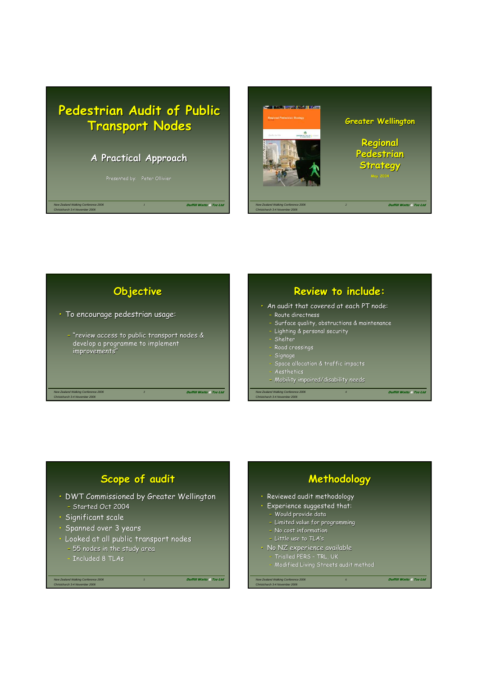# **Pedestrian Audit of Public Transport Nodes Transport Nodes**

#### **A Practical Approach**

*Christchurch 3-4 November 2006*

*New Zealand Walking Conference 2006* **<b>Duffill Watts & Tse Ltd** 







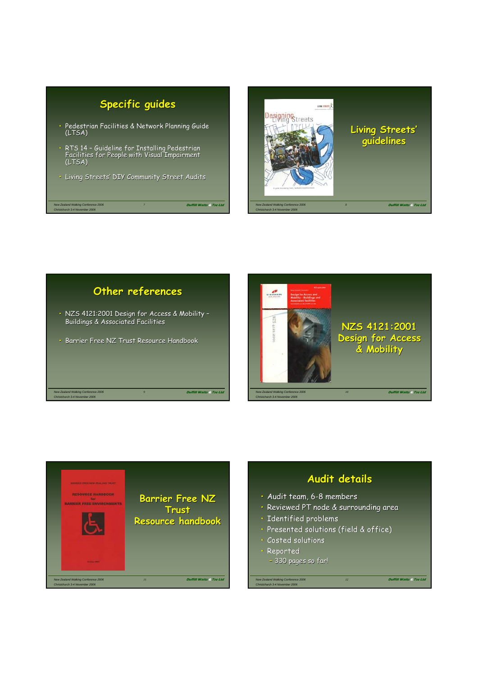





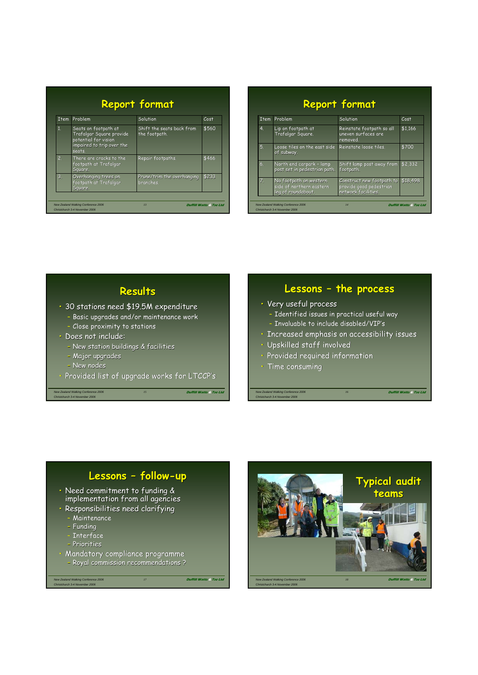| <b>Item</b> | Problem                                                                                                         | Solution                                   | Cost  |
|-------------|-----------------------------------------------------------------------------------------------------------------|--------------------------------------------|-------|
| 1.          | Seats on footpath at<br>Trafalgar Square provide<br>potential for vision<br>impaired to trip over the<br>seats. | Shift the seats back from<br>the footpath. | \$560 |
| 2.          | There are cracks to the<br>footpath at Trafalgar<br>Square,                                                     | Repair footpaths.                          | \$466 |
| 3.          | Overhanging trees on<br>footpath at Trafalgar<br>Square,                                                        | Prune/trim the overhanging<br>branches.    | \$233 |

| <b>Item</b> | Problem                                                                  | Solution                                                                    | Cost     |
|-------------|--------------------------------------------------------------------------|-----------------------------------------------------------------------------|----------|
| 4.          | Lip on footpath at<br>Trafalgar Square.                                  | Reinstate footpath so all<br>uneven surfaces are<br>removed.                | \$1,166  |
| 5.          | Loose tiles on the east side<br>of subway.                               | Reinstate loose tiles.                                                      | \$700    |
| 6.          | North end carpark - lamp<br>post set in pedestrian path.                 | Shift lamp post away from<br>footpath.                                      | \$2,332  |
| 7.          | No footpath on western<br>side of northern eastern<br>leg of roundabout. | Construct new footpath to<br>provide good pedestrian<br>network facilities. | \$18,498 |

### **Results Results**

- 30 stations need \$19.5M expenditure
	- Basic upgrades and/or maintenance work
	- Close proximity to stations
- Does not include:
	- New station buildings & facilities
	- Major upgrades
	- New nodes

*Christchurch 3-4 November 2006*

· Provided list of upgrade works for LTCCP's

*New Zealand Walking Conference 2006* **Duffill Watts & Tse Ltd**

*15*

#### Lessons - the process

- Very useful process
	- Identified issues in practical useful way – Invaluable to include disabled/VIP's
- Increased emphasis on accessibility issues

*New Zealand Walking Conference 2006* **Duffill Watts & Tse Ltd** 

*16*

- Upskilled staff involved
- Provided required information
- Time consuming

*Christchurch 3-4 November 2006*



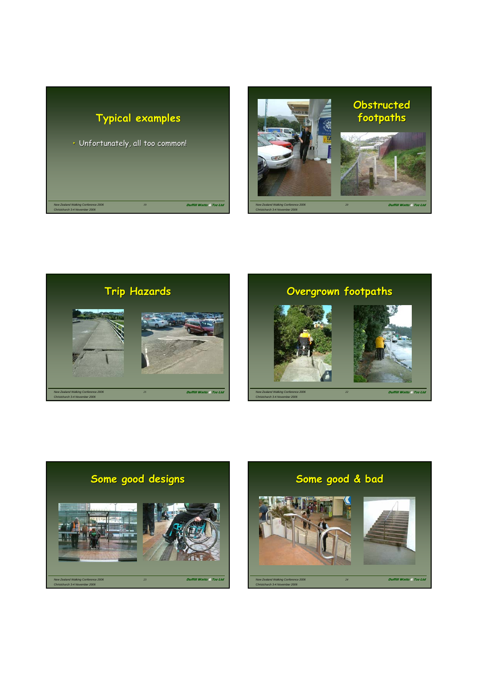









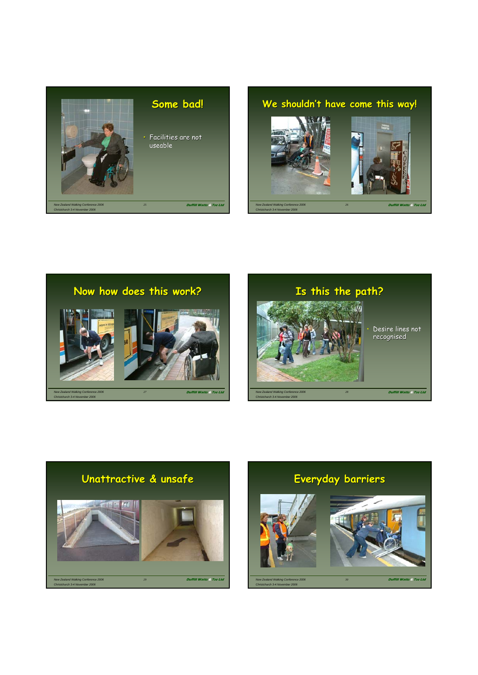









• Desire lines not recognised

*New Zealand Walking Conference 2006* **Duffill Watts & Tse Ltd**